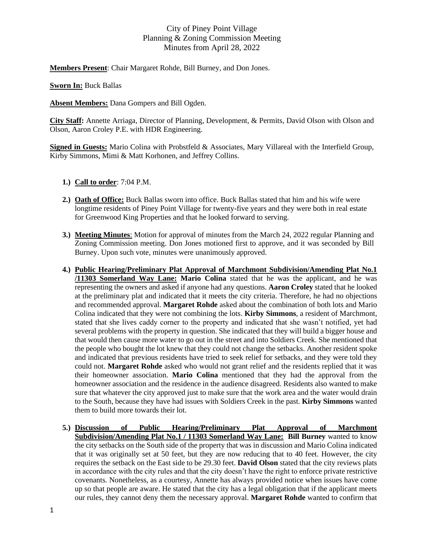## City of Piney Point Village Planning & Zoning Commission Meeting Minutes from April 28, 2022

**Members Present**: Chair Margaret Rohde, Bill Burney, and Don Jones.

**Sworn In:** Buck Ballas

**Absent Members:** Dana Gompers and Bill Ogden.

**City Staff:** Annette Arriaga, Director of Planning, Development, & Permits, David Olson with Olson and Olson, Aaron Croley P.E. with HDR Engineering.

**Signed in Guests:** Mario Colina with Probstfeld & Associates, Mary Villareal with the Interfield Group, Kirby Simmons, Mimi & Matt Korhonen, and Jeffrey Collins.

- **1.) Call to order**: 7:04 P.M.
- **2.) Oath of Office:** Buck Ballas sworn into office. Buck Ballas stated that him and his wife were longtime residents of Piney Point Village for twenty-five years and they were both in real estate for Greenwood King Properties and that he looked forward to serving.
- **3.) Meeting Minutes**: Motion for approval of minutes from the March 24, 2022 regular Planning and Zoning Commission meeting. Don Jones motioned first to approve, and it was seconded by Bill Burney. Upon such vote, minutes were unanimously approved.
- **4.) Public Hearing/Preliminary Plat Approval of Marchmont Subdivision/Amending Plat No.1 /11303 Somerland Way Lane: Mario Colina** stated that he was the applicant, and he was representing the owners and asked if anyone had any questions. **Aaron Croley** stated that he looked at the preliminary plat and indicated that it meets the city criteria. Therefore, he had no objections and recommended approval. **Margaret Rohde** asked about the combination of both lots and Mario Colina indicated that they were not combining the lots. **Kirby Simmons**, a resident of Marchmont, stated that she lives caddy corner to the property and indicated that she wasn't notified, yet had several problems with the property in question. She indicated that they will build a bigger house and that would then cause more water to go out in the street and into Soldiers Creek. She mentioned that the people who bought the lot knew that they could not change the setbacks. Another resident spoke and indicated that previous residents have tried to seek relief for setbacks, and they were told they could not. **Margaret Rohde** asked who would not grant relief and the residents replied that it was their homeowner association. **Mario Colina** mentioned that they had the approval from the homeowner association and the residence in the audience disagreed. Residents also wanted to make sure that whatever the city approved just to make sure that the work area and the water would drain to the South, because they have had issues with Soldiers Creek in the past. **Kirby Simmons** wanted them to build more towards their lot.
- **5.) Discussion of Public Hearing/Preliminary Plat Approval of Marchmont Subdivision/Amending Plat No.1 / 11303 Somerland Way Lane: Bill Burney** wanted to know the city setbacks on the South side of the property that was in discussion and Mario Colina indicated that it was originally set at 50 feet, but they are now reducing that to 40 feet. However, the city requires the setback on the East side to be 29.30 feet. **David Olson** stated that the city reviews plats in accordance with the city rules and that the city doesn't have the right to enforce private restrictive covenants. Nonetheless, as a courtesy, Annette has always provided notice when issues have come up so that people are aware. He stated that the city has a legal obligation that if the applicant meets our rules, they cannot deny them the necessary approval. **Margaret Rohde** wanted to confirm that